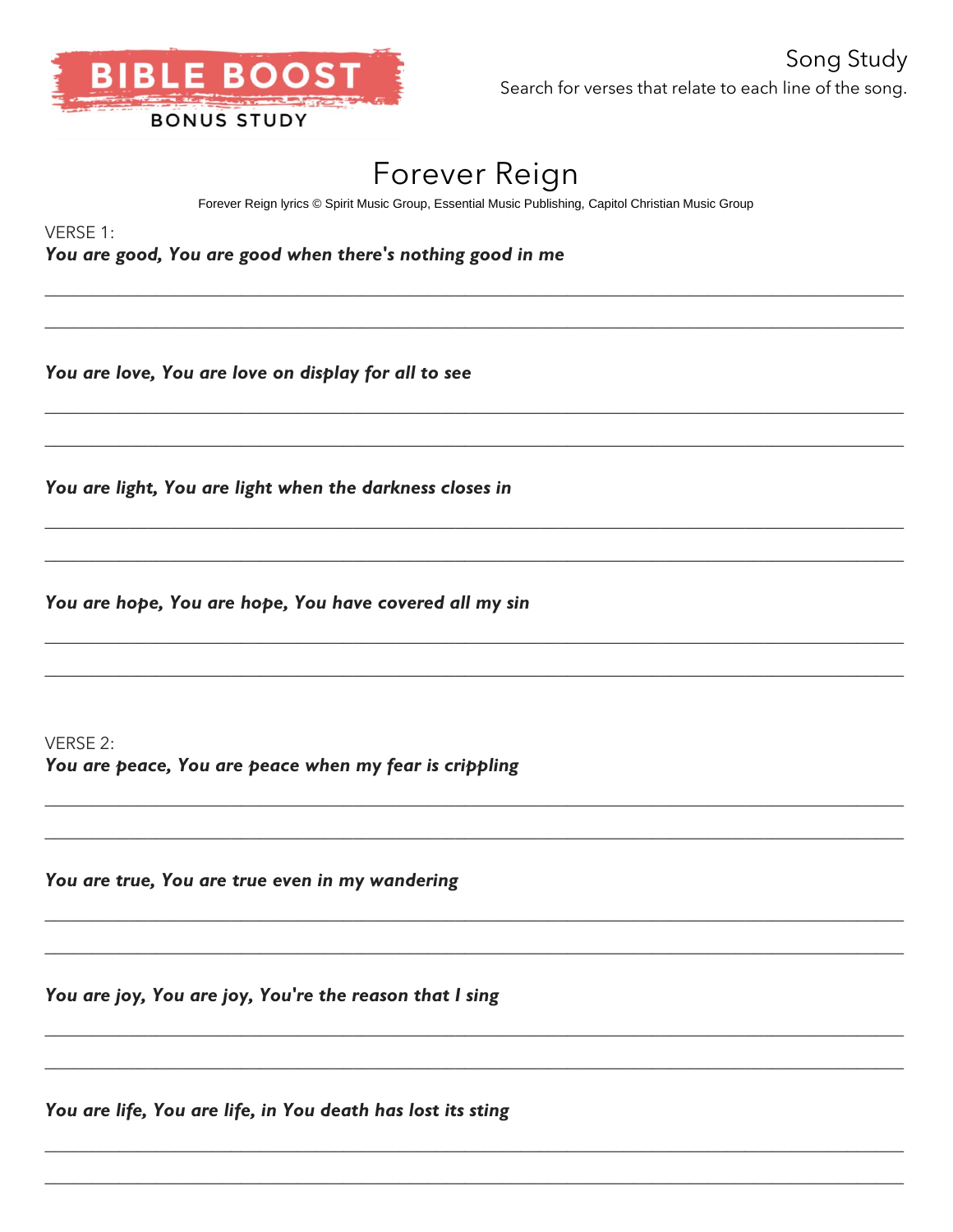

## Forever Reign

Forever Reign lyrics © Spirit Music Group, Essential Music Publishing, Capitol Christian Music Group

VERSE 1:

You are good, You are good when there's nothing good in me

You are love, You are love on display for all to see

You are light, You are light when the darkness closes in

You are hope, You are hope, You have covered all my sin

VERSE 2: You are peace, You are peace when my fear is crippling

You are true, You are true even in my wandering

You are joy, You are joy, You're the reason that I sing

You are life, You are life, in You death has lost its sting